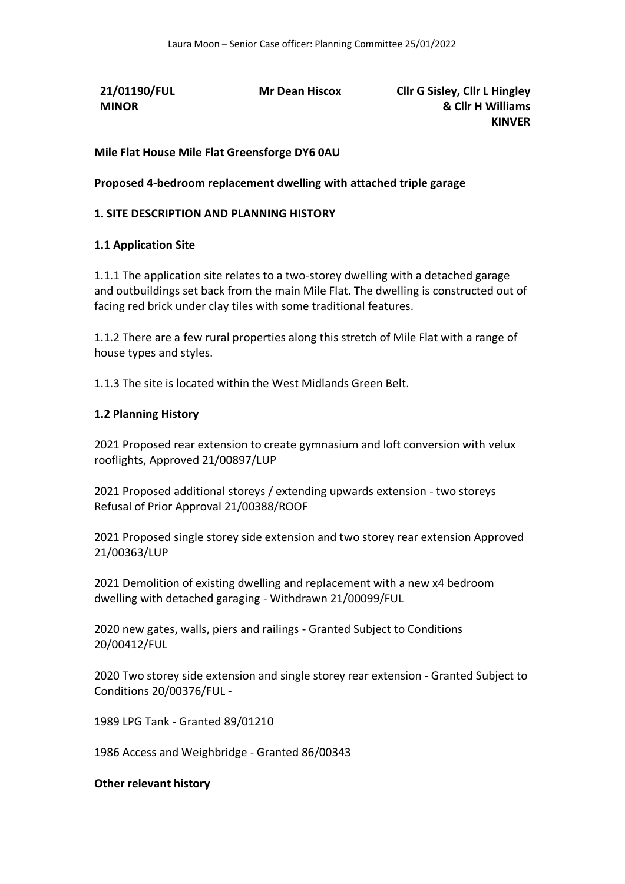**21/01190/FUL MINOR** 

**Mr Dean Hiscox Cllr G Sisley, Cllr L Hingley & Cllr H Williams KINVER**

**Mile Flat House Mile Flat Greensforge DY6 0AU** 

**Proposed 4-bedroom replacement dwelling with attached triple garage**

### **1. SITE DESCRIPTION AND PLANNING HISTORY**

### **1.1 Application Site**

1.1.1 The application site relates to a two-storey dwelling with a detached garage and outbuildings set back from the main Mile Flat. The dwelling is constructed out of facing red brick under clay tiles with some traditional features.

1.1.2 There are a few rural properties along this stretch of Mile Flat with a range of house types and styles.

1.1.3 The site is located within the West Midlands Green Belt.

### **1.2 Planning History**

2021 Proposed rear extension to create gymnasium and loft conversion with velux rooflights, Approved 21/00897/LUP

2021 Proposed additional storeys / extending upwards extension - two storeys Refusal of Prior Approval 21/00388/ROOF

2021 Proposed single storey side extension and two storey rear extension Approved 21/00363/LUP

2021 Demolition of existing dwelling and replacement with a new x4 bedroom dwelling with detached garaging - Withdrawn 21/00099/FUL

2020 new gates, walls, piers and railings - Granted Subject to Conditions 20/00412/FUL

2020 Two storey side extension and single storey rear extension - Granted Subject to Conditions 20/00376/FUL -

1989 LPG Tank - Granted 89/01210

1986 Access and Weighbridge - Granted 86/00343

### **Other relevant history**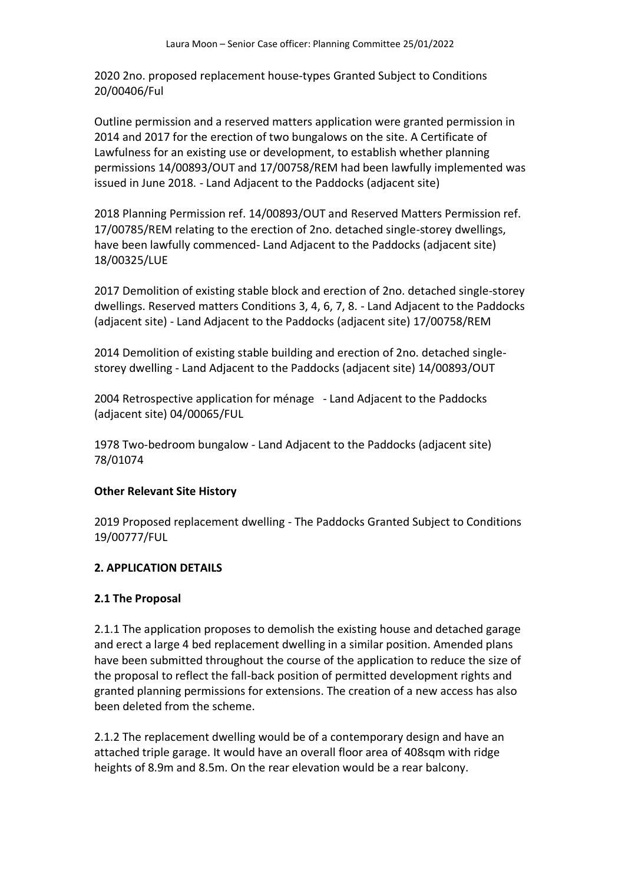2020 2no. proposed replacement house-types Granted Subject to Conditions 20/00406/Ful

Outline permission and a reserved matters application were granted permission in 2014 and 2017 for the erection of two bungalows on the site. A Certificate of Lawfulness for an existing use or development, to establish whether planning permissions 14/00893/OUT and 17/00758/REM had been lawfully implemented was issued in June 2018. - Land Adjacent to the Paddocks (adjacent site)

2018 Planning Permission ref. 14/00893/OUT and Reserved Matters Permission ref. 17/00785/REM relating to the erection of 2no. detached single-storey dwellings, have been lawfully commenced- Land Adjacent to the Paddocks (adjacent site) 18/00325/LUE

2017 Demolition of existing stable block and erection of 2no. detached single-storey dwellings. Reserved matters Conditions 3, 4, 6, 7, 8. - Land Adjacent to the Paddocks (adjacent site) - Land Adjacent to the Paddocks (adjacent site) 17/00758/REM

2014 Demolition of existing stable building and erection of 2no. detached singlestorey dwelling - Land Adjacent to the Paddocks (adjacent site) 14/00893/OUT

2004 Retrospective application for ménage - Land Adjacent to the Paddocks (adjacent site) 04/00065/FUL

1978 Two-bedroom bungalow - Land Adjacent to the Paddocks (adjacent site) 78/01074

### **Other Relevant Site History**

2019 Proposed replacement dwelling - The Paddocks Granted Subject to Conditions 19/00777/FUL

## **2. APPLICATION DETAILS**

### **2.1 The Proposal**

2.1.1 The application proposes to demolish the existing house and detached garage and erect a large 4 bed replacement dwelling in a similar position. Amended plans have been submitted throughout the course of the application to reduce the size of the proposal to reflect the fall-back position of permitted development rights and granted planning permissions for extensions. The creation of a new access has also been deleted from the scheme.

2.1.2 The replacement dwelling would be of a contemporary design and have an attached triple garage. It would have an overall floor area of 408sqm with ridge heights of 8.9m and 8.5m. On the rear elevation would be a rear balcony.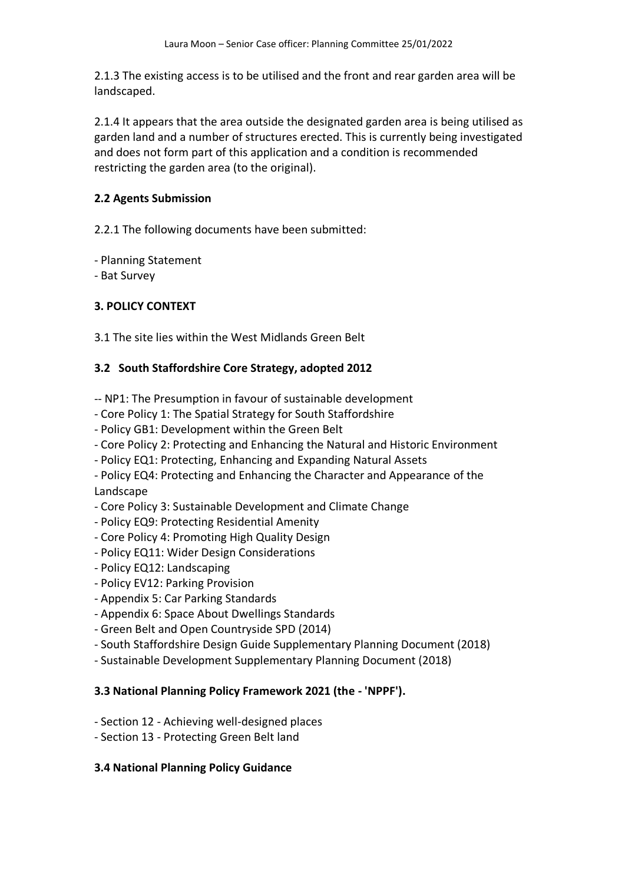2.1.3 The existing access is to be utilised and the front and rear garden area will be landscaped.

2.1.4 It appears that the area outside the designated garden area is being utilised as garden land and a number of structures erected. This is currently being investigated and does not form part of this application and a condition is recommended restricting the garden area (to the original).

# **2.2 Agents Submission**

2.2.1 The following documents have been submitted:

- Planning Statement

- Bat Survey

# **3. POLICY CONTEXT**

3.1 The site lies within the West Midlands Green Belt

# **3.2 South Staffordshire Core Strategy, adopted 2012**

- -- NP1: The Presumption in favour of sustainable development
- Core Policy 1: The Spatial Strategy for South Staffordshire
- Policy GB1: Development within the Green Belt
- Core Policy 2: Protecting and Enhancing the Natural and Historic Environment
- Policy EQ1: Protecting, Enhancing and Expanding Natural Assets
- Policy EQ4: Protecting and Enhancing the Character and Appearance of the Landscape
- Core Policy 3: Sustainable Development and Climate Change
- Policy EQ9: Protecting Residential Amenity
- Core Policy 4: Promoting High Quality Design
- Policy EQ11: Wider Design Considerations
- Policy EQ12: Landscaping
- Policy EV12: Parking Provision
- Appendix 5: Car Parking Standards
- Appendix 6: Space About Dwellings Standards
- Green Belt and Open Countryside SPD (2014)
- South Staffordshire Design Guide Supplementary Planning Document (2018)
- Sustainable Development Supplementary Planning Document (2018)

# **3.3 National Planning Policy Framework 2021 (the - 'NPPF').**

- Section 12 Achieving well-designed places
- Section 13 Protecting Green Belt land

# **3.4 National Planning Policy Guidance**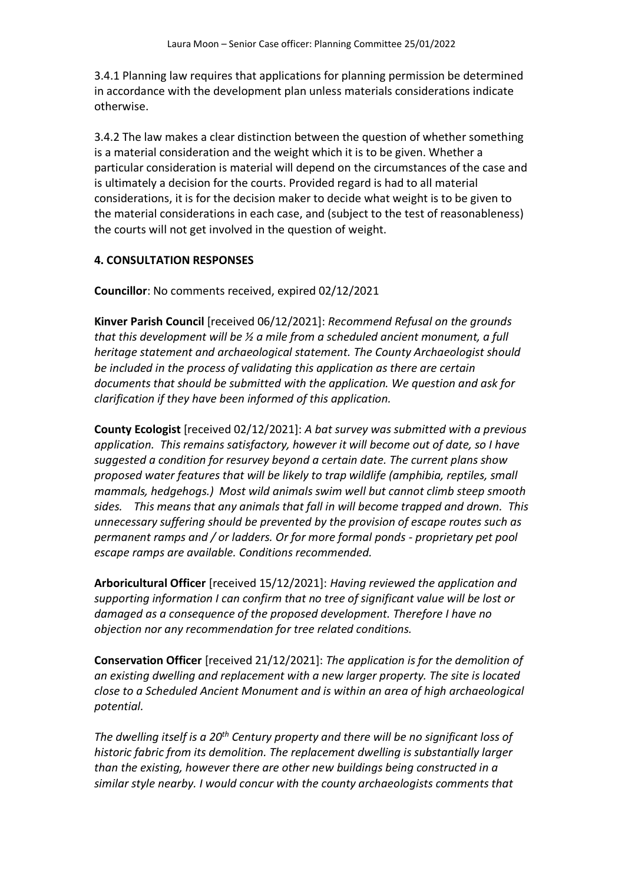3.4.1 Planning law requires that applications for planning permission be determined in accordance with the development plan unless materials considerations indicate otherwise.

3.4.2 The law makes a clear distinction between the question of whether something is a material consideration and the weight which it is to be given. Whether a particular consideration is material will depend on the circumstances of the case and is ultimately a decision for the courts. Provided regard is had to all material considerations, it is for the decision maker to decide what weight is to be given to the material considerations in each case, and (subject to the test of reasonableness) the courts will not get involved in the question of weight.

## **4. CONSULTATION RESPONSES**

**Councillor**: No comments received, expired 02/12/2021

**Kinver Parish Council** [received 06/12/2021]: *Recommend Refusal on the grounds that this development will be ½ a mile from a scheduled ancient monument, a full heritage statement and archaeological statement. The County Archaeologist should be included in the process of validating this application as there are certain documents that should be submitted with the application. We question and ask for clarification if they have been informed of this application.*

**County Ecologist** [received 02/12/2021]: *A bat survey was submitted with a previous application. This remains satisfactory, however it will become out of date, so I have suggested a condition for resurvey beyond a certain date. The current plans show proposed water features that will be likely to trap wildlife (amphibia, reptiles, small mammals, hedgehogs.) Most wild animals swim well but cannot climb steep smooth sides. This means that any animals that fall in will become trapped and drown. This unnecessary suffering should be prevented by the provision of escape routes such as permanent ramps and / or ladders. Or for more formal ponds - proprietary pet pool escape ramps are available. Conditions recommended.*

**Arboricultural Officer** [received 15/12/2021]: *Having reviewed the application and supporting information I can confirm that no tree of significant value will be lost or damaged as a consequence of the proposed development. Therefore I have no objection nor any recommendation for tree related conditions.*

**Conservation Officer** [received 21/12/2021]: *The application is for the demolition of an existing dwelling and replacement with a new larger property. The site is located close to a Scheduled Ancient Monument and is within an area of high archaeological potential.* 

*The dwelling itself is a 20th Century property and there will be no significant loss of historic fabric from its demolition. The replacement dwelling is substantially larger than the existing, however there are other new buildings being constructed in a similar style nearby. I would concur with the county archaeologists comments that*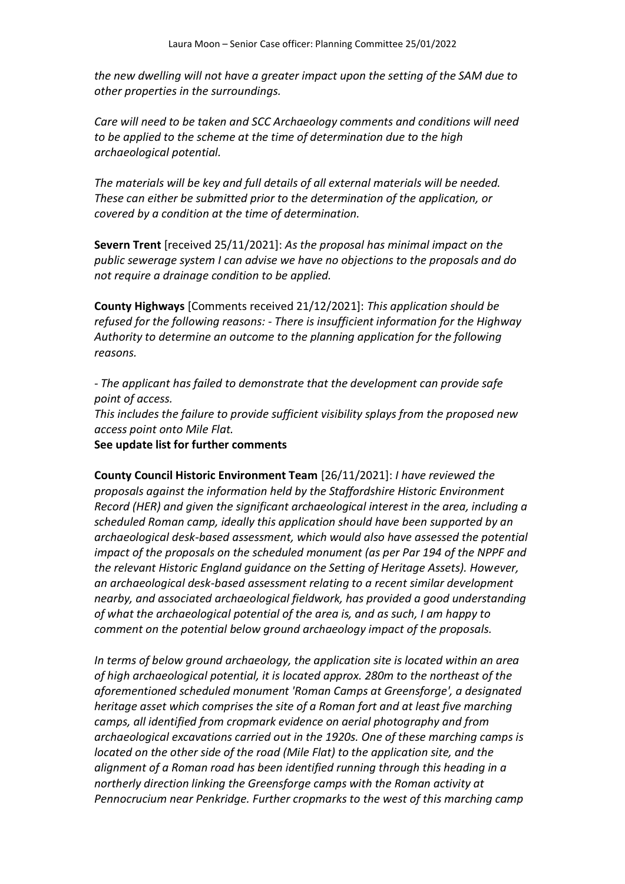*the new dwelling will not have a greater impact upon the setting of the SAM due to other properties in the surroundings.* 

*Care will need to be taken and SCC Archaeology comments and conditions will need to be applied to the scheme at the time of determination due to the high archaeological potential.* 

*The materials will be key and full details of all external materials will be needed. These can either be submitted prior to the determination of the application, or covered by a condition at the time of determination.* 

**Severn Trent** [received 25/11/2021]: *As the proposal has minimal impact on the public sewerage system I can advise we have no objections to the proposals and do not require a drainage condition to be applied.* 

**County Highways** [Comments received 21/12/2021]: *This application should be refused for the following reasons: - There is insufficient information for the Highway Authority to determine an outcome to the planning application for the following reasons.* 

*- The applicant has failed to demonstrate that the development can provide safe point of access.*

*This includes the failure to provide sufficient visibility splays from the proposed new access point onto Mile Flat.*

**See update list for further comments**

**County Council Historic Environment Team** [26/11/2021]: *I have reviewed the proposals against the information held by the Staffordshire Historic Environment Record (HER) and given the significant archaeological interest in the area, including a scheduled Roman camp, ideally this application should have been supported by an archaeological desk-based assessment, which would also have assessed the potential impact of the proposals on the scheduled monument (as per Par 194 of the NPPF and the relevant Historic England guidance on the Setting of Heritage Assets). However, an archaeological desk-based assessment relating to a recent similar development nearby, and associated archaeological fieldwork, has provided a good understanding of what the archaeological potential of the area is, and as such, I am happy to comment on the potential below ground archaeology impact of the proposals.* 

*In terms of below ground archaeology, the application site is located within an area of high archaeological potential, it is located approx. 280m to the northeast of the aforementioned scheduled monument 'Roman Camps at Greensforge', a designated heritage asset which comprises the site of a Roman fort and at least five marching camps, all identified from cropmark evidence on aerial photography and from archaeological excavations carried out in the 1920s. One of these marching camps is located on the other side of the road (Mile Flat) to the application site, and the alignment of a Roman road has been identified running through this heading in a northerly direction linking the Greensforge camps with the Roman activity at Pennocrucium near Penkridge. Further cropmarks to the west of this marching camp*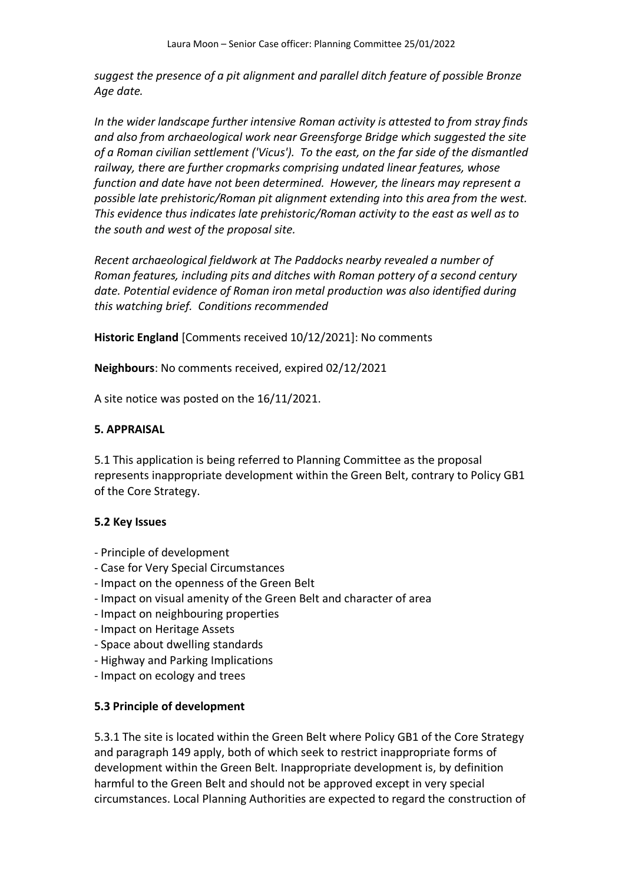*suggest the presence of a pit alignment and parallel ditch feature of possible Bronze Age date.* 

*In the wider landscape further intensive Roman activity is attested to from stray finds and also from archaeological work near Greensforge Bridge which suggested the site of a Roman civilian settlement ('Vicus'). To the east, on the far side of the dismantled railway, there are further cropmarks comprising undated linear features, whose function and date have not been determined. However, the linears may represent a possible late prehistoric/Roman pit alignment extending into this area from the west. This evidence thus indicates late prehistoric/Roman activity to the east as well as to the south and west of the proposal site.* 

*Recent archaeological fieldwork at The Paddocks nearby revealed a number of Roman features, including pits and ditches with Roman pottery of a second century date. Potential evidence of Roman iron metal production was also identified during this watching brief. Conditions recommended* 

**Historic England** [Comments received 10/12/2021]: No comments

**Neighbours**: No comments received, expired 02/12/2021

A site notice was posted on the 16/11/2021.

#### **5. APPRAISAL**

5.1 This application is being referred to Planning Committee as the proposal represents inappropriate development within the Green Belt, contrary to Policy GB1 of the Core Strategy.

### **5.2 Key Issues**

- Principle of development
- Case for Very Special Circumstances
- Impact on the openness of the Green Belt
- Impact on visual amenity of the Green Belt and character of area
- Impact on neighbouring properties
- Impact on Heritage Assets
- Space about dwelling standards
- Highway and Parking Implications
- Impact on ecology and trees

### **5.3 Principle of development**

5.3.1 The site is located within the Green Belt where Policy GB1 of the Core Strategy and paragraph 149 apply, both of which seek to restrict inappropriate forms of development within the Green Belt. Inappropriate development is, by definition harmful to the Green Belt and should not be approved except in very special circumstances. Local Planning Authorities are expected to regard the construction of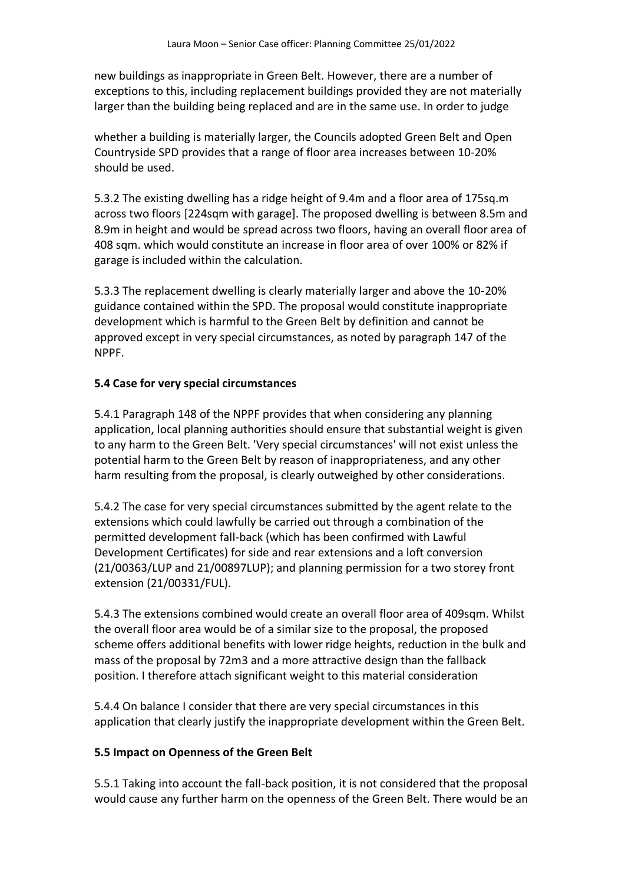new buildings as inappropriate in Green Belt. However, there are a number of exceptions to this, including replacement buildings provided they are not materially larger than the building being replaced and are in the same use. In order to judge

whether a building is materially larger, the Councils adopted Green Belt and Open Countryside SPD provides that a range of floor area increases between 10-20% should be used.

5.3.2 The existing dwelling has a ridge height of 9.4m and a floor area of 175sq.m across two floors [224sqm with garage]. The proposed dwelling is between 8.5m and 8.9m in height and would be spread across two floors, having an overall floor area of 408 sqm. which would constitute an increase in floor area of over 100% or 82% if garage is included within the calculation.

5.3.3 The replacement dwelling is clearly materially larger and above the 10-20% guidance contained within the SPD. The proposal would constitute inappropriate development which is harmful to the Green Belt by definition and cannot be approved except in very special circumstances, as noted by paragraph 147 of the NPPF.

## **5.4 Case for very special circumstances**

5.4.1 Paragraph 148 of the NPPF provides that when considering any planning application, local planning authorities should ensure that substantial weight is given to any harm to the Green Belt. 'Very special circumstances' will not exist unless the potential harm to the Green Belt by reason of inappropriateness, and any other harm resulting from the proposal, is clearly outweighed by other considerations.

5.4.2 The case for very special circumstances submitted by the agent relate to the extensions which could lawfully be carried out through a combination of the permitted development fall-back (which has been confirmed with Lawful Development Certificates) for side and rear extensions and a loft conversion (21/00363/LUP and 21/00897LUP); and planning permission for a two storey front extension (21/00331/FUL).

5.4.3 The extensions combined would create an overall floor area of 409sqm. Whilst the overall floor area would be of a similar size to the proposal, the proposed scheme offers additional benefits with lower ridge heights, reduction in the bulk and mass of the proposal by 72m3 and a more attractive design than the fallback position. I therefore attach significant weight to this material consideration

5.4.4 On balance I consider that there are very special circumstances in this application that clearly justify the inappropriate development within the Green Belt.

## **5.5 Impact on Openness of the Green Belt**

5.5.1 Taking into account the fall-back position, it is not considered that the proposal would cause any further harm on the openness of the Green Belt. There would be an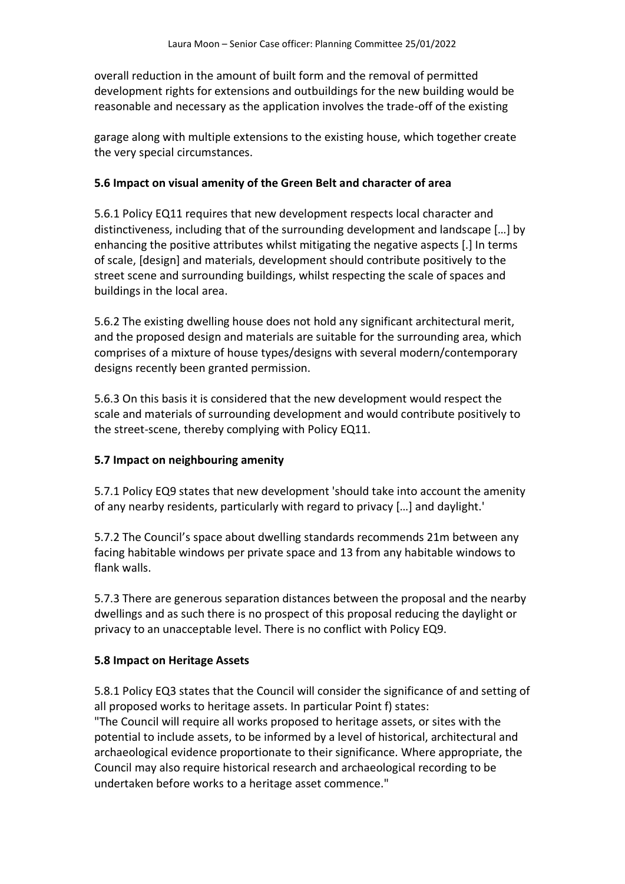overall reduction in the amount of built form and the removal of permitted development rights for extensions and outbuildings for the new building would be reasonable and necessary as the application involves the trade-off of the existing

garage along with multiple extensions to the existing house, which together create the very special circumstances.

### **5.6 Impact on visual amenity of the Green Belt and character of area**

5.6.1 Policy EQ11 requires that new development respects local character and distinctiveness, including that of the surrounding development and landscape […] by enhancing the positive attributes whilst mitigating the negative aspects [.] In terms of scale, [design] and materials, development should contribute positively to the street scene and surrounding buildings, whilst respecting the scale of spaces and buildings in the local area.

5.6.2 The existing dwelling house does not hold any significant architectural merit, and the proposed design and materials are suitable for the surrounding area, which comprises of a mixture of house types/designs with several modern/contemporary designs recently been granted permission.

5.6.3 On this basis it is considered that the new development would respect the scale and materials of surrounding development and would contribute positively to the street-scene, thereby complying with Policy EQ11.

## **5.7 Impact on neighbouring amenity**

5.7.1 Policy EQ9 states that new development 'should take into account the amenity of any nearby residents, particularly with regard to privacy […] and daylight.'

5.7.2 The Council's space about dwelling standards recommends 21m between any facing habitable windows per private space and 13 from any habitable windows to flank walls.

5.7.3 There are generous separation distances between the proposal and the nearby dwellings and as such there is no prospect of this proposal reducing the daylight or privacy to an unacceptable level. There is no conflict with Policy EQ9.

### **5.8 Impact on Heritage Assets**

5.8.1 Policy EQ3 states that the Council will consider the significance of and setting of all proposed works to heritage assets. In particular Point f) states: "The Council will require all works proposed to heritage assets, or sites with the potential to include assets, to be informed by a level of historical, architectural and archaeological evidence proportionate to their significance. Where appropriate, the

Council may also require historical research and archaeological recording to be undertaken before works to a heritage asset commence."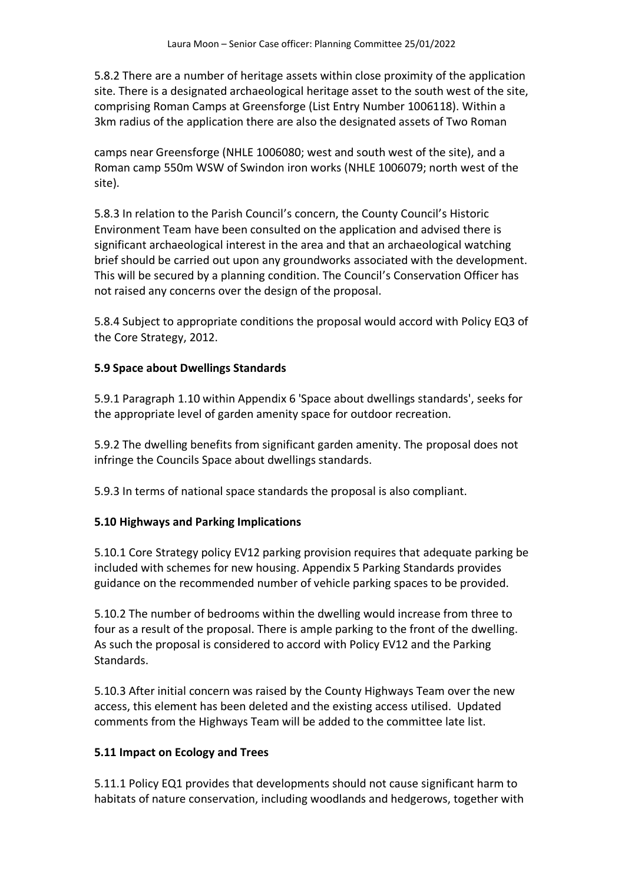5.8.2 There are a number of heritage assets within close proximity of the application site. There is a designated archaeological heritage asset to the south west of the site, comprising Roman Camps at Greensforge (List Entry Number 1006118). Within a 3km radius of the application there are also the designated assets of Two Roman

camps near Greensforge (NHLE 1006080; west and south west of the site), and a Roman camp 550m WSW of Swindon iron works (NHLE 1006079; north west of the site).

5.8.3 In relation to the Parish Council's concern, the County Council's Historic Environment Team have been consulted on the application and advised there is significant archaeological interest in the area and that an archaeological watching brief should be carried out upon any groundworks associated with the development. This will be secured by a planning condition. The Council's Conservation Officer has not raised any concerns over the design of the proposal.

5.8.4 Subject to appropriate conditions the proposal would accord with Policy EQ3 of the Core Strategy, 2012.

### **5.9 Space about Dwellings Standards**

5.9.1 Paragraph 1.10 within Appendix 6 'Space about dwellings standards', seeks for the appropriate level of garden amenity space for outdoor recreation.

5.9.2 The dwelling benefits from significant garden amenity. The proposal does not infringe the Councils Space about dwellings standards.

5.9.3 In terms of national space standards the proposal is also compliant.

## **5.10 Highways and Parking Implications**

5.10.1 Core Strategy policy EV12 parking provision requires that adequate parking be included with schemes for new housing. Appendix 5 Parking Standards provides guidance on the recommended number of vehicle parking spaces to be provided.

5.10.2 The number of bedrooms within the dwelling would increase from three to four as a result of the proposal. There is ample parking to the front of the dwelling. As such the proposal is considered to accord with Policy EV12 and the Parking Standards.

5.10.3 After initial concern was raised by the County Highways Team over the new access, this element has been deleted and the existing access utilised. Updated comments from the Highways Team will be added to the committee late list.

### **5.11 Impact on Ecology and Trees**

5.11.1 Policy EQ1 provides that developments should not cause significant harm to habitats of nature conservation, including woodlands and hedgerows, together with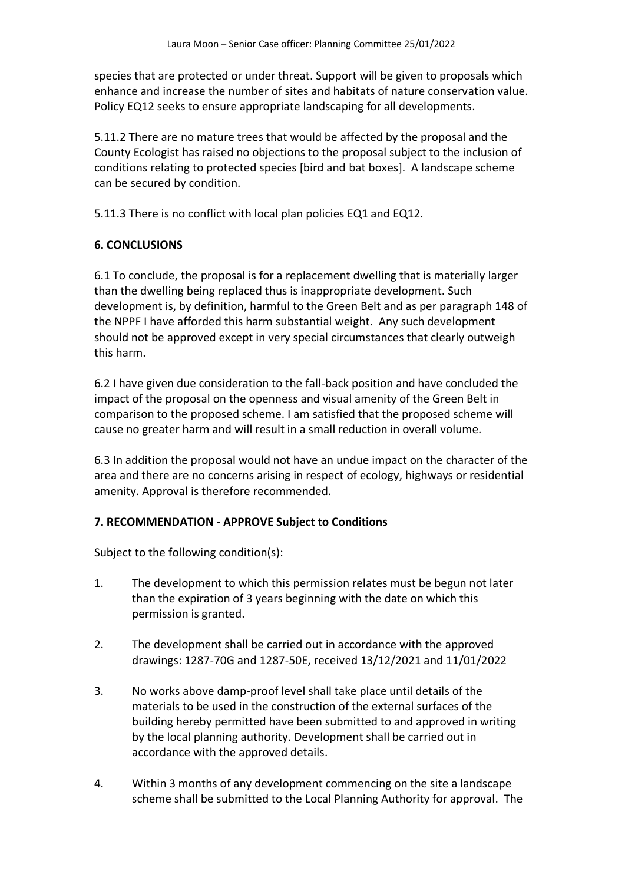species that are protected or under threat. Support will be given to proposals which enhance and increase the number of sites and habitats of nature conservation value. Policy EQ12 seeks to ensure appropriate landscaping for all developments.

5.11.2 There are no mature trees that would be affected by the proposal and the County Ecologist has raised no objections to the proposal subject to the inclusion of conditions relating to protected species [bird and bat boxes]. A landscape scheme can be secured by condition.

5.11.3 There is no conflict with local plan policies EQ1 and EQ12.

### **6. CONCLUSIONS**

6.1 To conclude, the proposal is for a replacement dwelling that is materially larger than the dwelling being replaced thus is inappropriate development. Such development is, by definition, harmful to the Green Belt and as per paragraph 148 of the NPPF I have afforded this harm substantial weight. Any such development should not be approved except in very special circumstances that clearly outweigh this harm.

6.2 I have given due consideration to the fall-back position and have concluded the impact of the proposal on the openness and visual amenity of the Green Belt in comparison to the proposed scheme. I am satisfied that the proposed scheme will cause no greater harm and will result in a small reduction in overall volume.

6.3 In addition the proposal would not have an undue impact on the character of the area and there are no concerns arising in respect of ecology, highways or residential amenity. Approval is therefore recommended.

### **7. RECOMMENDATION - APPROVE Subject to Conditions**

Subject to the following condition(s):

- 1. The development to which this permission relates must be begun not later than the expiration of 3 years beginning with the date on which this permission is granted.
- 2. The development shall be carried out in accordance with the approved drawings: 1287-70G and 1287-50E, received 13/12/2021 and 11/01/2022
- 3. No works above damp-proof level shall take place until details of the materials to be used in the construction of the external surfaces of the building hereby permitted have been submitted to and approved in writing by the local planning authority. Development shall be carried out in accordance with the approved details.
- 4. Within 3 months of any development commencing on the site a landscape scheme shall be submitted to the Local Planning Authority for approval. The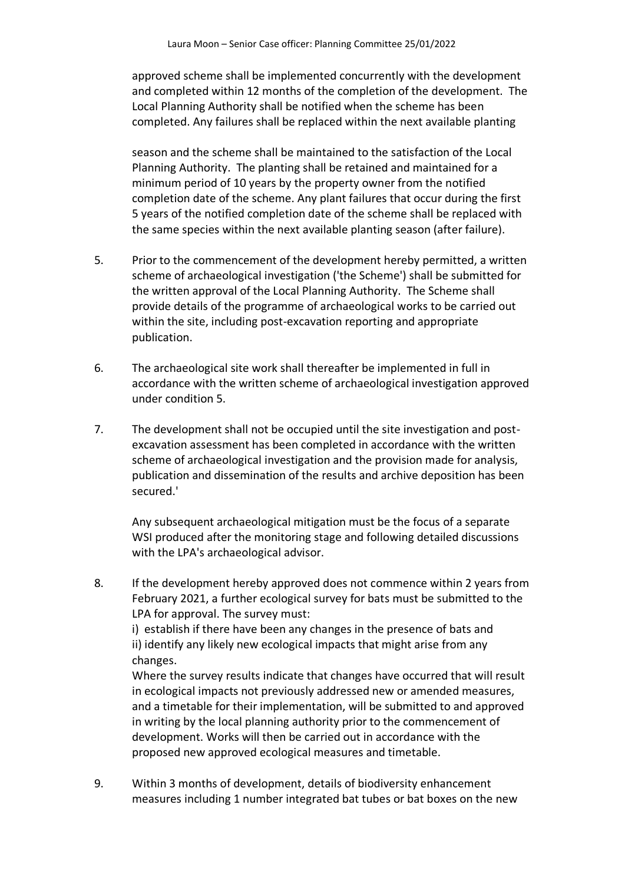approved scheme shall be implemented concurrently with the development and completed within 12 months of the completion of the development. The Local Planning Authority shall be notified when the scheme has been completed. Any failures shall be replaced within the next available planting

season and the scheme shall be maintained to the satisfaction of the Local Planning Authority. The planting shall be retained and maintained for a minimum period of 10 years by the property owner from the notified completion date of the scheme. Any plant failures that occur during the first 5 years of the notified completion date of the scheme shall be replaced with the same species within the next available planting season (after failure).

- 5. Prior to the commencement of the development hereby permitted, a written scheme of archaeological investigation ('the Scheme') shall be submitted for the written approval of the Local Planning Authority. The Scheme shall provide details of the programme of archaeological works to be carried out within the site, including post-excavation reporting and appropriate publication.
- 6. The archaeological site work shall thereafter be implemented in full in accordance with the written scheme of archaeological investigation approved under condition 5.
- 7. The development shall not be occupied until the site investigation and postexcavation assessment has been completed in accordance with the written scheme of archaeological investigation and the provision made for analysis, publication and dissemination of the results and archive deposition has been secured.'

Any subsequent archaeological mitigation must be the focus of a separate WSI produced after the monitoring stage and following detailed discussions with the LPA's archaeological advisor.

8. If the development hereby approved does not commence within 2 years from February 2021, a further ecological survey for bats must be submitted to the LPA for approval. The survey must:

i) establish if there have been any changes in the presence of bats and ii) identify any likely new ecological impacts that might arise from any changes.

Where the survey results indicate that changes have occurred that will result in ecological impacts not previously addressed new or amended measures, and a timetable for their implementation, will be submitted to and approved in writing by the local planning authority prior to the commencement of development. Works will then be carried out in accordance with the proposed new approved ecological measures and timetable.

9. Within 3 months of development, details of biodiversity enhancement measures including 1 number integrated bat tubes or bat boxes on the new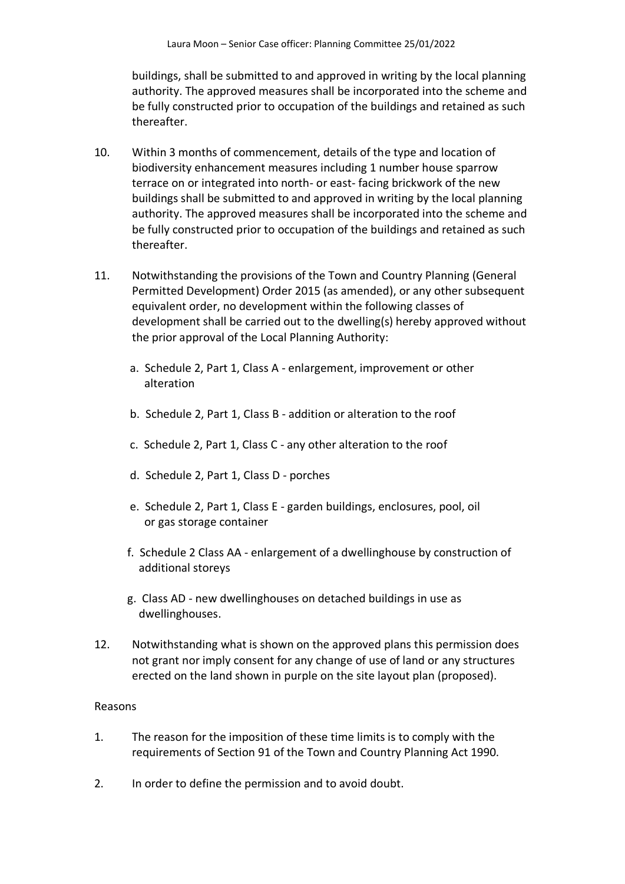buildings, shall be submitted to and approved in writing by the local planning authority. The approved measures shall be incorporated into the scheme and be fully constructed prior to occupation of the buildings and retained as such thereafter.

- 10. Within 3 months of commencement, details of the type and location of biodiversity enhancement measures including 1 number house sparrow terrace on or integrated into north- or east- facing brickwork of the new buildings shall be submitted to and approved in writing by the local planning authority. The approved measures shall be incorporated into the scheme and be fully constructed prior to occupation of the buildings and retained as such thereafter.
- 11. Notwithstanding the provisions of the Town and Country Planning (General Permitted Development) Order 2015 (as amended), or any other subsequent equivalent order, no development within the following classes of development shall be carried out to the dwelling(s) hereby approved without the prior approval of the Local Planning Authority:
	- a. Schedule 2, Part 1, Class A enlargement, improvement or other alteration
	- b. Schedule 2, Part 1, Class B addition or alteration to the roof
	- c. Schedule 2, Part 1, Class C any other alteration to the roof
	- d. Schedule 2, Part 1, Class D porches
	- e. Schedule 2, Part 1, Class E garden buildings, enclosures, pool, oil or gas storage container
	- f. Schedule 2 Class AA enlargement of a dwellinghouse by construction of additional storeys
	- g. Class AD new dwellinghouses on detached buildings in use as dwellinghouses.
- 12. Notwithstanding what is shown on the approved plans this permission does not grant nor imply consent for any change of use of land or any structures erected on the land shown in purple on the site layout plan (proposed).

### Reasons

- 1. The reason for the imposition of these time limits is to comply with the requirements of Section 91 of the Town and Country Planning Act 1990.
- 2. In order to define the permission and to avoid doubt.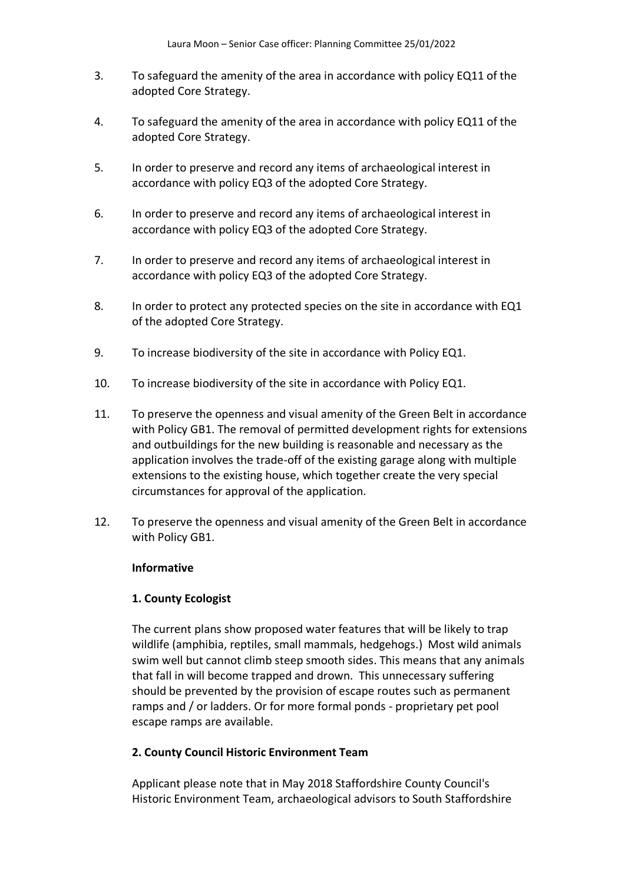- 3. To safeguard the amenity of the area in accordance with policy EQ11 of the adopted Core Strategy.
- 4. To safeguard the amenity of the area in accordance with policy EQ11 of the adopted Core Strategy.
- 5. In order to preserve and record any items of archaeological interest in accordance with policy EQ3 of the adopted Core Strategy.
- 6. In order to preserve and record any items of archaeological interest in accordance with policy EQ3 of the adopted Core Strategy.
- 7. In order to preserve and record any items of archaeological interest in accordance with policy EQ3 of the adopted Core Strategy.
- 8. In order to protect any protected species on the site in accordance with EQ1 of the adopted Core Strategy.
- 9. To increase biodiversity of the site in accordance with Policy EQ1.
- 10. To increase biodiversity of the site in accordance with Policy EQ1.
- 11. To preserve the openness and visual amenity of the Green Belt in accordance with Policy GB1. The removal of permitted development rights for extensions and outbuildings for the new building is reasonable and necessary as the application involves the trade-off of the existing garage along with multiple extensions to the existing house, which together create the very special circumstances for approval of the application.
- 12. To preserve the openness and visual amenity of the Green Belt in accordance with Policy GB1.

### **Informative**

### **1. County Ecologist**

The current plans show proposed water features that will be likely to trap wildlife (amphibia, reptiles, small mammals, hedgehogs.) Most wild animals swim well but cannot climb steep smooth sides. This means that any animals that fall in will become trapped and drown. This unnecessary suffering should be prevented by the provision of escape routes such as permanent ramps and / or ladders. Or for more formal ponds - proprietary pet pool escape ramps are available.

### **2. County Council Historic Environment Team**

Applicant please note that in May 2018 Staffordshire County Council's Historic Environment Team, archaeological advisors to South Staffordshire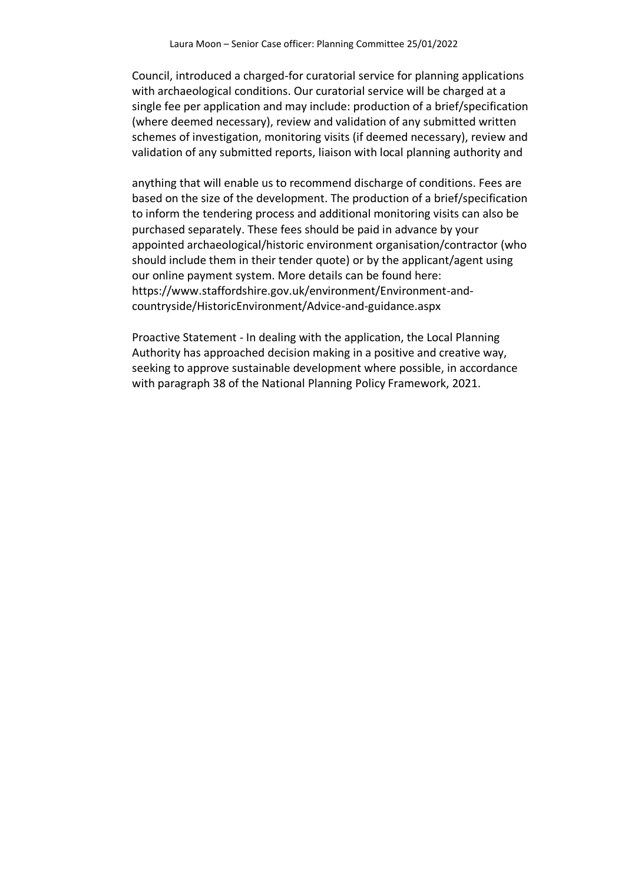Council, introduced a charged-for curatorial service for planning applications with archaeological conditions. Our curatorial service will be charged at a single fee per application and may include: production of a brief/specification (where deemed necessary), review and validation of any submitted written schemes of investigation, monitoring visits (if deemed necessary), review and validation of any submitted reports, liaison with local planning authority and

anything that will enable us to recommend discharge of conditions. Fees are based on the size of the development. The production of a brief/specification to inform the tendering process and additional monitoring visits can also be purchased separately. These fees should be paid in advance by your appointed archaeological/historic environment organisation/contractor (who should include them in their tender quote) or by the applicant/agent using our online payment system. More details can be found here: https://www.staffordshire.gov.uk/environment/Environment-andcountryside/HistoricEnvironment/Advice-and-guidance.aspx

Proactive Statement - In dealing with the application, the Local Planning Authority has approached decision making in a positive and creative way, seeking to approve sustainable development where possible, in accordance with paragraph 38 of the National Planning Policy Framework, 2021.